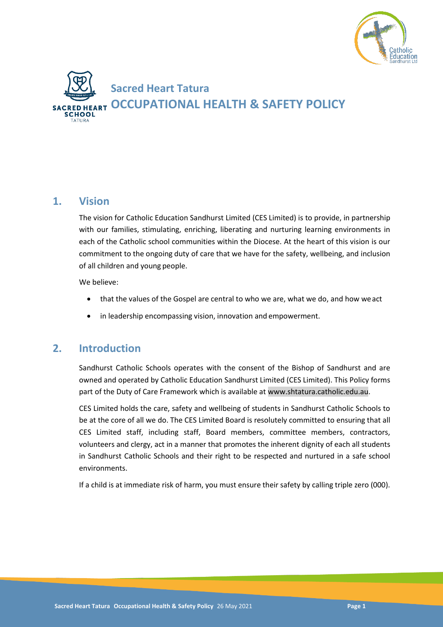



### **1. Vision**

The vision for Catholic Education Sandhurst Limited (CES Limited) is to provide, in partnership with our families, stimulating, enriching, liberating and nurturing learning environments in each of the Catholic school communities within the Diocese. At the heart of this vision is our commitment to the ongoing duty of care that we have for the safety, wellbeing, and inclusion of all children and young people.

We believe:

- that the values of the Gospel are central to who we are, what we do, and how weact
- in leadership encompassing vision, innovation and empowerment.

## **2. Introduction**

Sandhurst Catholic Schools operates with the consent of the Bishop of Sandhurst and are owned and operated by Catholic Education Sandhurst Limited (CES Limited). This Policy forms part of the Duty of Care Framework which is available at www.shtatura.catholic.edu.au.

CES Limited holds the care, safety and wellbeing of students in Sandhurst Catholic Schools to be at the core of all we do. The CES Limited Board is resolutely committed to ensuring that all CES Limited staff, including staff, Board members, committee members, contractors, volunteers and clergy, act in a manner that promotes the inherent dignity of each all students in Sandhurst Catholic Schools and their right to be respected and nurtured in a safe school environments.

If a child is at immediate risk of harm, you must ensure their safety by calling triple zero (000).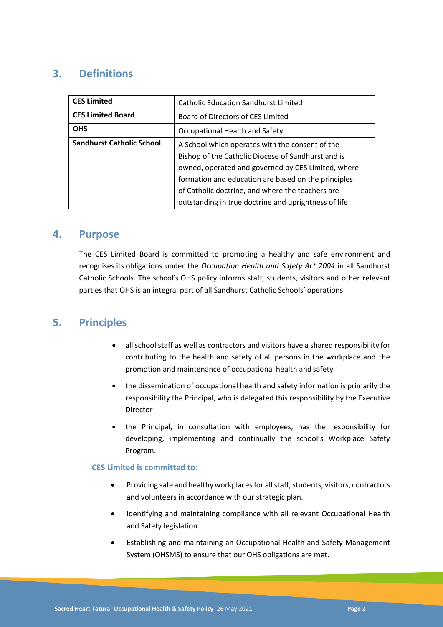# **3. Definitions**

| <b>CES Limited</b>               | <b>Catholic Education Sandhurst Limited</b>          |
|----------------------------------|------------------------------------------------------|
| <b>CES Limited Board</b>         | Board of Directors of CES Limited                    |
| <b>OHS</b>                       | Occupational Health and Safety                       |
| <b>Sandhurst Catholic School</b> | A School which operates with the consent of the      |
|                                  | Bishop of the Catholic Diocese of Sandhurst and is   |
|                                  | owned, operated and governed by CES Limited, where   |
|                                  | formation and education are based on the principles  |
|                                  | of Catholic doctrine, and where the teachers are     |
|                                  | outstanding in true doctrine and uprightness of life |

### **4. Purpose**

The CES Limited Board is committed to promoting a healthy and safe environment and recognises its obligations under the *Occupation Health and Safety Act 2004* in all Sandhurst Catholic Schools. The school's OHS policy informs staff, students, visitors and other relevant parties that OHS is an integral part of all Sandhurst Catholic Schools' operations.

### **5. Principles**

- all school staff as well as contractors and visitors have a shared responsibility for contributing to the health and safety of all persons in the workplace and the promotion and maintenance of occupational health and safety
- the dissemination of occupational health and safety information is primarily the responsibility the Principal, who is delegated this responsibility by the Executive Director
- the Principal, in consultation with employees, has the responsibility for developing, implementing and continually the school's Workplace Safety Program.

### **CES Limited is committed to:**

- Providing safe and healthy workplaces for all staff, students, visitors, contractors and volunteers in accordance with our strategic plan.
- Identifying and maintaining compliance with all relevant Occupational Health and Safety legislation.
- Establishing and maintaining an Occupational Health and Safety Management System (OHSMS) to ensure that our OHS obligations are met.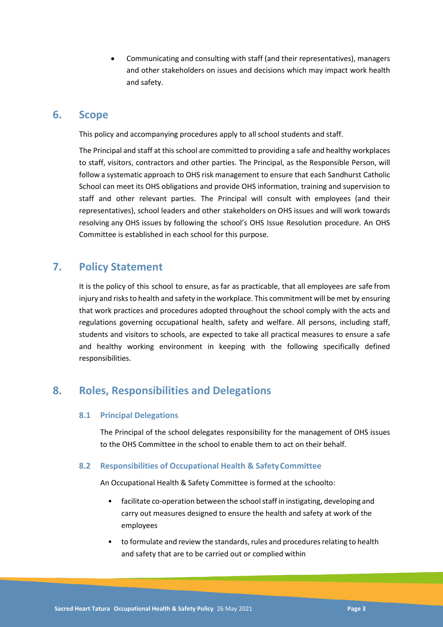Communicating and consulting with staff (and their representatives), managers and other stakeholders on issues and decisions which may impact work health and safety.

### **6. Scope**

This policy and accompanying procedures apply to all school students and staff.

The Principal and staff at this school are committed to providing a safe and healthy workplaces to staff, visitors, contractors and other parties. The Principal, as the Responsible Person, will follow a systematic approach to OHS risk management to ensure that each Sandhurst Catholic School can meet its OHS obligations and provide OHS information, training and supervision to staff and other relevant parties. The Principal will consult with employees (and their representatives), school leaders and other stakeholders on OHS issues and will work towards resolving any OHS issues by following the school's OHS Issue Resolution procedure. An OHS Committee is established in each school for this purpose.

## **7. Policy Statement**

It is the policy of this school to ensure, as far as practicable, that all employees are safe from injury and risks to health and safety in the workplace. This commitment will be met by ensuring that work practices and procedures adopted throughout the school comply with the acts and regulations governing occupational health, safety and welfare. All persons, including staff, students and visitors to schools, are expected to take all practical measures to ensure a safe and healthy working environment in keeping with the following specifically defined responsibilities.

## **8. Roles, Responsibilities and Delegations**

### **8.1 Principal Delegations**

The Principal of the school delegates responsibility for the management of OHS issues to the OHS Committee in the school to enable them to act on their behalf.

### **8.2 Responsibilities of Occupational Health & SafetyCommittee**

An Occupational Health & Safety Committee is formed at the schoolto:

- facilitate co-operation between the school staff in instigating, developing and carry out measures designed to ensure the health and safety at work of the employees
- to formulate and review the standards, rules and procedures relating to health and safety that are to be carried out or complied within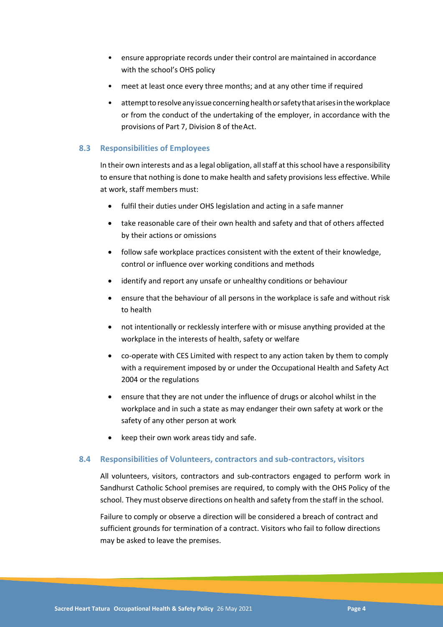- ensure appropriate records under their control are maintained in accordance with the school's OHS policy
- meet at least once every three months; and at any other time if required
- attempt to resolve any issue concerning health or safety that arises in the workplace or from the conduct of the undertaking of the employer, in accordance with the provisions of Part 7, Division 8 of theAct.

#### **8.3 Responsibilities of Employees**

In their own interests and as a legal obligation, all staff at this school have a responsibility to ensure that nothing is done to make health and safety provisions less effective. While at work, staff members must:

- fulfil their duties under OHS legislation and acting in a safe manner
- take reasonable care of their own health and safety and that of others affected by their actions or omissions
- follow safe workplace practices consistent with the extent of their knowledge, control or influence over working conditions and methods
- identify and report any unsafe or unhealthy conditions or behaviour
- ensure that the behaviour of all persons in the workplace is safe and without risk to health
- not intentionally or recklessly interfere with or misuse anything provided at the workplace in the interests of health, safety or welfare
- co-operate with CES Limited with respect to any action taken by them to comply with a requirement imposed by or under the Occupational Health and Safety Act 2004 or the regulations
- ensure that they are not under the influence of drugs or alcohol whilst in the workplace and in such a state as may endanger their own safety at work or the safety of any other person at work
- keep their own work areas tidy and safe.

#### **8.4 Responsibilities of Volunteers, contractors and sub-contractors, visitors**

All volunteers, visitors, contractors and sub-contractors engaged to perform work in Sandhurst Catholic School premises are required, to comply with the OHS Policy of the school. They must observe directions on health and safety from the staff in the school.

Failure to comply or observe a direction will be considered a breach of contract and sufficient grounds for termination of a contract. Visitors who fail to follow directions may be asked to leave the premises.